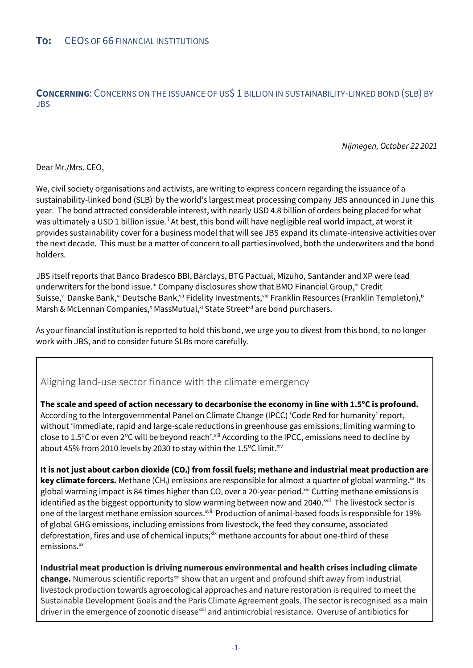**CONCERNING:** CONCERNS ON THE ISSUANCE OF US\$ 1 BILLION IN SUSTAINABILITY-LINKED BOND (SLB) BY JBS

*Nijmegen, October 22 2021*

Dear Mr./Mrs. CEO,

We, civil society organisations and activists, are writing to express concern regarding the issuance of a sustainability-linked bond (SLB)<sup>i</sup> by the world's largest meat processing company JBS announced in June this year. The bond attracted considerable interest, with nearly USD 4.8 billion of orders being placed for what was ultimately a USD 1 billion issue.<sup>ii</sup> At best, this bond will have negligible real world impact, at worst it provides sustainability cover for a business model that will see JBS expand its climate-intensive activities over the next decade. This must be a matter of concern to all parties involved, both the underwriters and the bond holders.

JBS itself reports that Banco Bradesco BBI, Barclays, BTG Pactual, Mizuho, Santander and XP were lead underwriters for the bond issue.<sup>iii</sup> Company disclosures show that BMO Financial Group,<sup>iv</sup> Credit Suisse, Uanske Bank, vi Deutsche Bank, vii Fidelity Investments, viii Franklin Resources (Franklin Templeton), ix Marsh & McLennan Companies,<sup>x</sup> MassMutual,<sup>xi</sup> State Street<sup>xii</sup> are bond purchasers.

As your financial institution is reported to hold this bond, we urge you to divest from this bond, to no longer work with JBS, and to consider future SLBs more carefully.

## Aligning land-use sector finance with the climate emergency

**The scale and speed of action necessary to decarbonise the economy in line with 1.5ºC is profound.**  According to the Intergovernmental Panel on Climate Change (IPCC) 'Code Red for humanity' report, without 'immediate, rapid and large-scale reductions in greenhouse gas emissions, limiting warming to close to 1.5°C or even 2°C will be beyond reach'. Xiii According to the IPCC, emissions need to decline by about 45% from 2010 levels by 2030 to stay within the 1.5 $\mathrm{°C}$  limit.<sup>xiv</sup>

**It is not just about carbon dioxide (CO2) from fossil fuels; methane and industrial meat production are key climate forcers.** Methane (CH<sub>4</sub>) emissions are responsible for almost a quarter of global warming.<sup>xv</sup> Its global warming impact is 84 times higher than CO<sub>2</sub> over a 20-year period.<sup>xvi</sup> Cutting methane emissions is identified as the biggest opportunity to slow warming between now and 2040.<sup>xvii</sup> The livestock sector is one of the largest methane emission sources.<sup>xviii</sup> Production of animal-based foods is responsible for 19% of global GHG emissions, including emissions from livestock, the feed they consume, associated deforestation, fires and use of chemical inputs;<sup>xix</sup> methane accounts for about one-third of these emissions.<sup>xx</sup>

**Industrial meat production is driving numerous environmental and health crises including climate change.** Numerous scientific reports<sup>xxi</sup> show that an urgent and profound shift away from industrial livestock production towards agroecological approaches and nature restoration is required to meet the Sustainable Development Goals and the Paris Climate Agreement goals. The sector is recognised as a main driver in the emergence of zoonotic disease<sup>xxii</sup> and antimicrobial resistance. Overuse of antibiotics for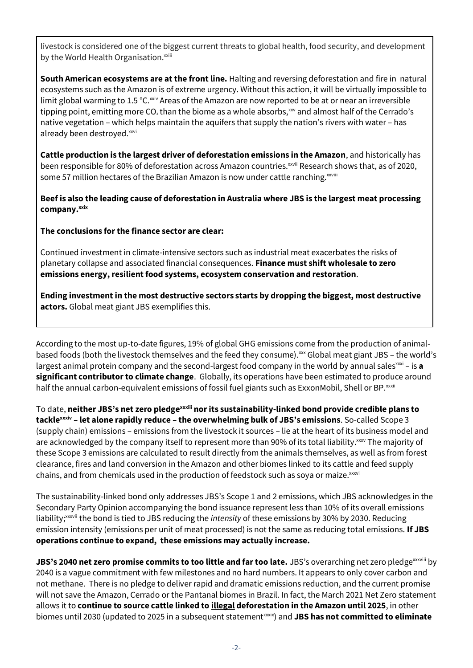livestock is considered one of the biggest current threats to global health, food security, and development by the World Health Organisation.<sup>xxiii</sup>

**South American ecosystems are at the front line.** Halting and reversing deforestation and fire in natural ecosystems such as the Amazon is of extreme urgency. Without this action, it will be virtually impossible to limit global warming to 1.5 °C.<sup>xxiv</sup> Areas of the Amazon are now reported to be at or near an irreversible tipping point, emitting more CO<sub>2</sub> than the biome as a whole absorbs,  $x^2$  and almost half of the Cerrado's native vegetation – which helps maintain the aquifers that supply the nation's rivers with water – has already been destroyed.xxvi

**Cattle production is the largest driver of deforestation emissions in the Amazon**, and historically has been responsible for 80% of deforestation across Amazon countries.<sup>xxvii</sup> Research shows that, as of 2020, some 57 million hectares of the Brazilian Amazon is now under cattle ranching.<sup>xxviii</sup>

**Beef is also the leading cause of deforestation in Australia where JBS is the largest meat processing company.xxix**

**The conclusions for the finance sector are clear:**

Continued investment in climate-intensive sectors such as industrial meat exacerbates the risks of planetary collapse and associated financial consequences. **Finance must shift wholesale to zero emissions energy, resilient food systems, ecosystem conservation and restoration**.

**Ending investment in the most destructive sectors starts by dropping the biggest, most destructive actors.** Global meat giant JBS exemplifies this.

According to the most up-to-date figures, 19% of global GHG emissions come from the production of animalbased foods (both the livestock themselves and the feed they consume).<sup>xxx</sup> Global meat giant JBS - the world's largest animal protein company and the second-largest food company in the world by annual sales<sup>xxi</sup> – is **a significant contributor to climate change**. Globally, its operations have been estimated to produce around half the annual carbon-equivalent emissions of fossil fuel giants such as ExxonMobil, Shell or BP.<sup>xxxii</sup>

To date, **neither JBS's net zero pledgexxxiii nor its sustainability-linked bond provide credible plans to tacklexxxiv – let alone rapidly reduce – the overwhelming bulk of JBS's emissions**. So-called Scope 3 (supply chain) emissions – emissions from the livestock it sources – lie at the heart of its business model and are acknowledged by the company itself to represent more than 90% of its total liability.<sup>xxxv</sup> The majority of these Scope 3 emissions are calculated to result directly from the animals themselves, as well as from forest clearance, fires and land conversion in the Amazon and other biomes linked to its cattle and feed supply chains, and from chemicals used in the production of feedstock such as soya or maize.<sup>xxxvi</sup>

The sustainability-linked bond only addresses JBS's Scope 1 and 2 emissions, which JBS acknowledges in the Secondary Party Opinion accompanying the bond issuance represent less than 10% of its overall emissions liability;xxxvii the bond is tied to JBS reducing the *intensity* of these emissions by 30% by 2030. Reducing emission intensity (emissions per unit of meat processed) is not the same as reducing total emissions. **If JBS operations continue to expand, these emissions may actually increase.**

**JBS's 2040 net zero promise commits to too little and far too late.** JBS's overarching net zero pledge<sup>xxxviii</sup> by 2040 is a vague commitment with few milestones and no hard numbers. It appears to only cover carbon and not methane. There is no pledge to deliver rapid and dramatic emissions reduction, and the current promise will not save the Amazon, Cerrado or the Pantanal biomes in Brazil. In fact, the March 2021 Net Zero statement allows it to **continue to source cattle linked to illegal deforestation in the Amazon until 2025**, in other biomes until 2030 (updated to 2025 in a subsequent statement<sup>xxxix</sup>) and **JBS has not committed to eliminate**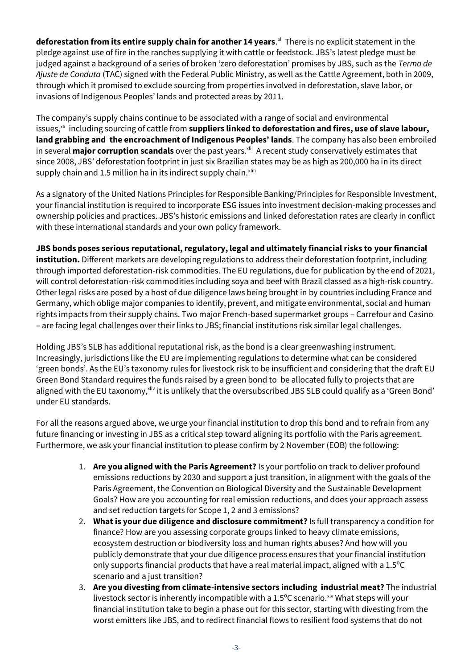deforestation from its entire supply chain for another 14 years.<sup>xl</sup> There is no explicit statement in the pledge against use of fire in the ranches supplying it with cattle or feedstock. JBS's latest pledge must be judged against a background of a series of broken 'zero deforestation' promises by JBS, such as the *Termo de Ajuste de Conduta* (TAC) signed with the Federal Public Ministry, as well as the Cattle Agreement, both in 2009, through which it promised to exclude sourcing from properties involved in deforestation, slave labor, or invasions of Indigenous Peoples' lands and protected areas by 2011.

The company's supply chains continue to be associated with a range of social and environmental issues.<sup>xli</sup> including sourcing of cattle from **suppliers linked to deforestation and fires, use of slave labour, land grabbing and the encroachment of Indigenous Peoples' lands**. The company has also been embroiled in several **major corruption scandals** over the past years.<sup>xlii</sup> A recent study conservatively estimates that since 2008, JBS' deforestation footprint in just six Brazilian states may be as high as 200,000 ha in its direct supply chain and 1.5 million ha in its indirect supply chain. Xliii

As a signatory of the United Nations Principles for Responsible Banking/Principles for Responsible Investment, your financial institution is required to incorporate ESG issues into investment decision-making processes and ownership policies and practices. JBS's historic emissions and linked deforestation rates are clearly in conflict with these international standards and your own policy framework.

## **JBS bonds poses serious reputational, regulatory, legal and ultimately financial risks to your financial**

**institution.** Different markets are developing regulations to address their deforestation footprint, including through imported deforestation-risk commodities. The EU regulations, due for publication by the end of 2021, will control deforestation-risk commodities including soya and beef with Brazil classed as a high-risk country. Other legal risks are posed by a host of due diligence laws being brought in by countries including France and Germany, which oblige major companies to identify, prevent, and mitigate environmental, social and human rights impacts from their supply chains. Two major French-based supermarket groups – Carrefour and Casino – are facing legal challenges over their links to JBS; financial institutions risk similar legal challenges.

Holding JBS's SLB has additional reputational risk, as the bond is a clear greenwashing instrument. Increasingly, jurisdictions like the EU are implementing regulations to determine what can be considered 'green bonds'. As the EU's taxonomy rules for livestock risk to be insufficient and considering that the draft EU Green Bond Standard requires the funds raised by a green bond to be allocated fully to projects that are aligned with the EU taxonomy, xliv it is unlikely that the oversubscribed JBS SLB could qualify as a 'Green Bond' under EU standards.

For all the reasons argued above, we urge your financial institution to drop this bond and to refrain from any future financing or investing in JBS as a critical step toward aligning its portfolio with the Paris agreement. Furthermore, we ask your financial institution to please confirm by 2 November (EOB) the following:

- 1. **Are you aligned with the Paris Agreement?** Is your portfolio on track to deliver profound emissions reductions by 2030 and support a just transition, in alignment with the goals of the Paris Agreement, the Convention on Biological Diversity and the Sustainable Development Goals? How are you accounting for real emission reductions, and does your approach assess and set reduction targets for Scope 1, 2 and 3 emissions?
- 2. **What is your due diligence and disclosure commitment?** Is full transparency a condition for finance? How are you assessing corporate groups linked to heavy climate emissions, ecosystem destruction or biodiversity loss and human rights abuses? And how will you publicly demonstrate that your due diligence process ensures that your financial institution only supports financial products that have a real material impact, aligned with a 1.5ºC scenario and a just transition?
- 3. **Are you divesting from climate-intensive sectors including industrial meat?** The industrial livestock sector is inherently incompatible with a  $1.5^{\circ}$ C scenario.<sup>xlv</sup> What steps will your financial institution take to begin a phase out for this sector, starting with divesting from the worst emitters like JBS, and to redirect financial flows to resilient food systems that do not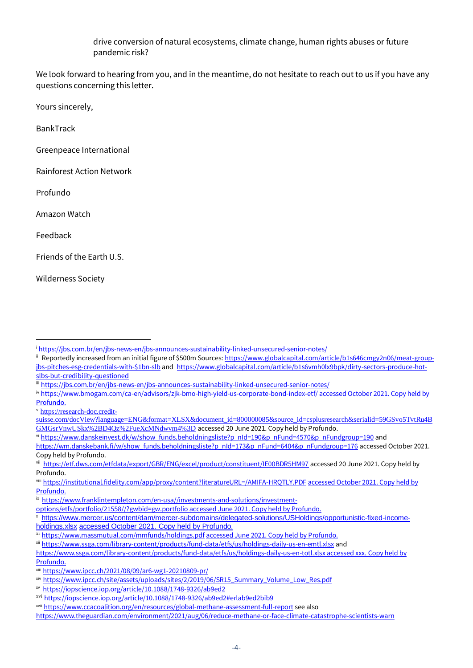drive conversion of natural ecosystems, climate change, human rights abuses or future pandemic risk?

We look forward to hearing from you, and in the meantime, do not hesitate to reach out to us if you have any questions concerning this letter.

Yours sincerely,

BankTrack

Greenpeace International

Rainforest Action Network

Profundo

Amazon Watch

Feedback

Friends of the Earth U.S.

Wilderness Society

<sup>v</sup> [https://research-doc.credit-](https://research-doc.credit-suisse.com/docView?language=ENG&format=XLSX&document_id=800000085&source_id=csplusresearch&serialid=59GSvo5TvtRu4BGMGsrVnwUSkx%2BD4Qz%2FueXcMNdwvm4%3D)

vi [https://www.danskeinvest.dk/w/show\\_funds.beholdningsliste?p\\_nId=190&p\\_nFund=4570&p\\_nFundgroup=190](https://www.danskeinvest.dk/w/show_funds.beholdningsliste?p_nId=190&p_nFund=4570&p_nFundgroup=190) and

i <https://jbs.com.br/en/jbs-news-en/jbs-announces-sustainability-linked-unsecured-senior-notes/>

ii Reportedly increased from an initial figure of \$500m Sources[: https://www.globalcapital.com/article/b1s646cmgy2n06/meat-group](https://www.globalcapital.com/article/b1s646cmgy2n06/meat-group-jbs-pitches-esg-credentials-with-$1bn-slb)[jbs-pitches-esg-credentials-with-\\$1bn-slb](https://www.globalcapital.com/article/b1s646cmgy2n06/meat-group-jbs-pitches-esg-credentials-with-$1bn-slb) and [https://www.globalcapital.com/article/b1s6vmh0lx9bpk/dirty-sectors-produce-hot](https://www.globalcapital.com/article/b1s6vmh0lx9bpk/dirty-sectors-produce-hot-slbs-but-credibility-questioned)[slbs-but-credibility-questioned](https://www.globalcapital.com/article/b1s6vmh0lx9bpk/dirty-sectors-produce-hot-slbs-but-credibility-questioned)

iii <https://jbs.com.br/en/jbs-news-en/jbs-announces-sustainability-linked-unsecured-senior-notes/>

iv <https://www.bmogam.com/ca-en/advisors/zjk-bmo-high-yield-us-corporate-bond-index-etf/> accessed October 2021. Copy held by [Profundo.](https://www.franklintempleton.com/en-usa/investments-and-solutions/investment-options/etfs/portfolio/21558/?gwbid=gw.portfolio)

[suisse.com/docView?language=ENG&format=XLSX&document\\_id=800000085&source\\_id=csplusresearch&serialid=59GSvo5TvtRu4B](https://research-doc.credit-suisse.com/docView?language=ENG&format=XLSX&document_id=800000085&source_id=csplusresearch&serialid=59GSvo5TvtRu4BGMGsrVnwUSkx%2BD4Qz%2FueXcMNdwvm4%3D) [GMGsrVnwUSkx%2BD4Qz%2FueXcMNdwvm4%3D](https://research-doc.credit-suisse.com/docView?language=ENG&format=XLSX&document_id=800000085&source_id=csplusresearch&serialid=59GSvo5TvtRu4BGMGsrVnwUSkx%2BD4Qz%2FueXcMNdwvm4%3D) accessed 20 June 2021. Copy held by Profundo.

[https://wm.danskebank.fi/w/show\\_funds.beholdningsliste?p\\_nId=173&p\\_nFund=6404&p\\_nFundgroup=176](https://wm.danskebank.fi/w/show_funds.beholdningsliste?p_nId=173&p_nFund=6404&p_nFundgroup=176) accessed October 2021. Copy held by Profundo.

vii <https://etf.dws.com/etfdata/export/GBR/ENG/excel/product/constituent/IE00BDR5HM97> accessed 20 June 2021. Copy held by Profundo.

viii <https://institutional.fidelity.com/app/proxy/content?literatureURL=/AMIFA-HRQTLY.PDF> accessed October 2021. Copy held by [Profundo.](https://www.franklintempleton.com/en-usa/investments-and-solutions/investment-options/etfs/portfolio/21558/?gwbid=gw.portfolio)

ix [https://www.franklintempleton.com/en-usa//investments-and-solutions/investment-](https://www.franklintempleton.com/en-usa/investments-and-solutions/investment-options/etfs/portfolio/21558/?gwbid=gw.portfolio)

[options/etfs/portfolio/21558//?gwbid=gw.portfolio accessed June 2021. Copy held by Profundo.](https://www.franklintempleton.com/en-usa/investments-and-solutions/investment-options/etfs/portfolio/21558/?gwbid=gw.portfolio)

<sup>x</sup> [https://www.mercer.us/content/dam/mercer-subdomains/delegated-solutions/USHoldings/opportunistic-fixed-income-](https://www.mercer.us/content/dam/mercer-subdomains/delegated-solutions/USHoldings/opportunistic-fixed-income-holdings.xlsx)

[holdings.xlsx](https://www.mercer.us/content/dam/mercer-subdomains/delegated-solutions/USHoldings/opportunistic-fixed-income-holdings.xlsx) [accessed October 2021. Copy held by Profundo.](https://www.franklintempleton.com/en-usa/investments-and-solutions/investment-options/etfs/portfolio/21558/?gwbid=gw.portfolio)

xi <https://www.massmutual.com/mmfunds/holdings.pdf> [accessed June 2021. Copy held by Profundo.](https://www.franklintempleton.com/en-usa/investments-and-solutions/investment-options/etfs/portfolio/21558/?gwbid=gw.portfolio)

xii <https://www.ssga.com/library-content/products/fund-data/etfs/us/holdings-daily-us-en-emtl.xlsx> and

[https://www.ssga.com/library-content/products/fund-data/etfs/us/holdings-daily-us-en-totl.xlsx accessed xxx. Copy held by](https://www.ssga.com/library-content/products/fund-data/etfs/us/holdings-daily-us-en-totl.xlsx)  [Profundo.](https://www.ssga.com/library-content/products/fund-data/etfs/us/holdings-daily-us-en-totl.xlsx)

xiii <https://www.ipcc.ch/2021/08/09/ar6-wg1-20210809-pr/>

xiv [https://www.ipcc.ch/site/assets/uploads/sites/2/2019/06/SR15\\_Summary\\_Volume\\_Low\\_Res.pdf](https://www.ipcc.ch/site/assets/uploads/sites/2/2019/06/SR15_Summary_Volume_Low_Res.pdf)

xv <https://iopscience.iop.org/article/10.1088/1748-9326/ab9ed2>

xvi <https://iopscience.iop.org/article/10.1088/1748-9326/ab9ed2#erlab9ed2bib9>

xvii <https://www.ccacoalition.org/en/resources/global-methane-assessment-full-report> see also

<https://www.theguardian.com/environment/2021/aug/06/reduce-methane-or-face-climate-catastrophe-scientists-warn>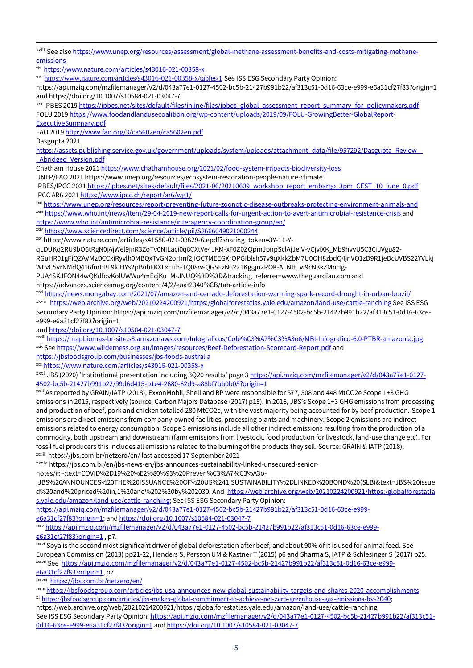xviii See als[o https://www.unep.org/resources/assessment/global-methane-assessment-benefits-and-costs-mitigating-methane](https://www.unep.org/resources/assessment/global-methane-assessment-benefits-and-costs-mitigating-methane-emissions)[emissions](https://www.unep.org/resources/assessment/global-methane-assessment-benefits-and-costs-mitigating-methane-emissions)

xix <https://www.nature.com/articles/s43016-021-00358-x>

xx <https://www.nature.com/articles/s43016-021-00358-x/tables/1> See ISS ESG Secondary Party Opinion:

https://api.mziq.com/mzfilemanager/v2/d/043a77e1-0127-4502-bc5b-21427b991b22/af313c51-0d16-63ce-e999-e6a31cf27f83?origin=1 and https://doi.org/10.1007/s10584-021-03047-7

xxi IPBES 201[9 https://ipbes.net/sites/default/files/inline/files/ipbes\\_global\\_assessment\\_report\\_summary\\_for\\_policymakers.pdf](https://ipbes.net/sites/default/files/inline/files/ipbes_global_assessment_report_summary_for_policymakers.pdf) FOLU 201[9 https://www.foodandlandusecoalition.org/wp-content/uploads/2019/09/FOLU-GrowingBetter-GlobalReport-](https://www.foodandlandusecoalition.org/wp-content/uploads/2019/09/FOLU-GrowingBetter-GlobalReport-ExecutiveSummary.pdf)[ExecutiveSummary.pdf](https://www.foodandlandusecoalition.org/wp-content/uploads/2019/09/FOLU-GrowingBetter-GlobalReport-ExecutiveSummary.pdf)

FAO 201[9 http://www.fao.org/3/ca5602en/ca5602en.pdf](http://www.fao.org/3/ca5602en/ca5602en.pdf)

Dasgupta 2021

[https://assets.publishing.service.gov.uk/government/uploads/system/uploads/attachment\\_data/file/957292/Dasgupta\\_Review\\_-](https://assets.publishing.service.gov.uk/government/uploads/system/uploads/attachment_data/file/957292/Dasgupta_Review_-_Abridged_Version.pdf) [\\_Abridged\\_Version.pdf](https://assets.publishing.service.gov.uk/government/uploads/system/uploads/attachment_data/file/957292/Dasgupta_Review_-_Abridged_Version.pdf)

Chatham House 202[1 https://www.chathamhouse.org/2021/02/food-system-impacts-biodiversity-loss](https://www.chathamhouse.org/2021/02/food-system-impacts-biodiversity-loss)

UNEP/FAO 2021 https://www.unep.org/resources/ecosystem-restoration-people-nature-climate

IPBES/IPCC 202[1 https://ipbes.net/sites/default/files/2021-06/20210609\\_workshop\\_report\\_embargo\\_3pm\\_CEST\\_10\\_june\\_0.pdf](https://ipbes.net/sites/default/files/2021-06/20210609_workshop_report_embargo_3pm_CEST_10_june_0.pdf) IPCC AR6 202[1 https://www.ipcc.ch/report/ar6/wg1/](https://www.ipcc.ch/report/ar6/wg1/)

xxii <https://www.unep.org/resources/report/preventing-future-zoonotic-disease-outbreaks-protecting-environment-animals-and> xxiii https://www<u>.who.int/news/item/29-04-2019-new-report-calls-for-urgent-action-to-avert-antimicrobial-resistance-crisis</u> and

<https://www.who.int/antimicrobial-resistance/interagency-coordination-group/en/>

xxiv <https://www.sciencedirect.com/science/article/pii/S2666049021000244>

xxv https://www.nature.com/articles/s41586-021-03629-6.epdf?sharing\_token=3Y-11-Y-

qLDUKq2RU9bO6tRgN0jAjWel9jnR3ZoTv0NILaci0q8CXtVe4JKM-xF0Z0ZQpmJpnpSclAjJeIV-vCjviXK\_Mb9hvvU5C3CiJVgu82- RGuHR01gFiQZAVMzDCCxiRyvlh0MBQxTvGN2oHmf2jIOC7MEEGXrOPGIblsh57v9qXkkZbM7U0OH8zbdQ4jnVO1zD9R1jeDcUVBS22YVLkj WEvC5vrNMdQ416fmEBL9kIHYs2ptVibFKXLxEuh-TQ08w-QGSFzN6221Kggjn2ROK-A\_Ntt\_w9cN3kZMnHg-

PUA4SKJFON44wOKdfovKolUWWu4mEcjKu\_M-JNUO%3D%3D&tracking\_referrer=www.theguardian.com and

https://advances.sciencemag.org/content/4/2/eaat2340%CB/tab-article-info

xxvi <https://news.mongabay.com/2021/07/amazon-and-cerrado-deforestation-warming-spark-record-drought-in-urban-brazil/>

xxvii <https://web.archive.org/web/20210224200921/https:/globalforestatlas.yale.edu/amazon/land-use/cattle-ranching> See ISS ESG Secondary Party Opinion: https://api.mziq.com/mzfilemanager/v2/d/043a77e1-0127-4502-bc5b-21427b991b22/af313c51-0d16-63cee999-e6a31cf27f83?origin=1

an[d https://doi.org/10.1007/s10584-021-03047-7](https://doi.org/10.1007/s10584-021-03047-7)

xxviii <https://mapbiomas-br-site.s3.amazonaws.com/Infograficos/Cole%C3%A7%C3%A3o6/MBI-Infografico-6.0-PTBR-amazonia.jpg> xxix Se[e https://www.wilderness.org.au/images/resources/Beef-Deforestation-Scorecard-Report.pdf](https://www.wilderness.org.au/images/resources/Beef-Deforestation-Scorecard-Report.pdf) and

<https://jbsfoodsgroup.com/businesses/jbs-foods-australia>

xxx <https://www.nature.com/articles/s43016-021-00358-x>

xxxi JBS (2020) 'Institutional presentation including 3Q20 results' page 3 [https://api.mziq.com/mzfilemanager/v2/d/043a77e1-0127-](https://api.mziq.com/mzfilemanager/v2/d/043a77e1-0127-4502-bc5b-21427b991b22/99d6d415-b1e4-2680-62d9-a88bf7bb0b05?origin=1) [4502-bc5b-21427b991b22/99d6d415-b1e4-2680-62d9-a88bf7bb0b05?origin=1](https://api.mziq.com/mzfilemanager/v2/d/043a77e1-0127-4502-bc5b-21427b991b22/99d6d415-b1e4-2680-62d9-a88bf7bb0b05?origin=1)

xxxii As reported by GRAIN/IATP (2018), ExxonMobil, Shell and BP were responsible for 577, 508 and 448 MtCO2e Scope 1+3 GHG emissions in 2015, respectively (source: Carbon Majors Database (2017) p15). In 2016, JBS's Scope 1+3 GHG emissions from processing and production of beef, pork and chicken totalled 280 MtCO2e, with the vast majority being accounted for by beef production. Scope 1 emissions are direct emissions from company-owned facilities, processing plants and machinery. Scope 2 emissions are indirect emissions related to energy consumption. Scope 3 emissions include all other indirect emissions resulting from the production of a commodity, both upstream and downstream (farm emissions from livestock, food production for livestock, land-use change etc). For fossil fuel producers this includes all emissions related to the burning of the products they sell. Source: GRAIN & IATP (2018). xxxiii https://jbs.com.br/netzero/en/ last accessed 17 September 2021

xxxiv https://jbs.com.br/en/jbs-news-en/jbs-announces-sustainability-linked-unsecured-senior-

notes/#:~:text=COVID%2D19%20%E2%80%93%20Preven%C3%A7%C3%A3o-

,JBS%20ANNOUNCES%20THE%20ISSUANCE%20OF%20US%241,SUSTAINABILITY%2DLINKED%20BOND%20(SLB)&text=JBS%20issue d%20and%20priced%20in,1%20and%202%20by%202030. And [https://web.archive.org/web/20210224200921/https:/globalforestatla](https://web.archive.org/web/20210224200921/https:/globalforestatlas.yale.edu/amazon/land-use/cattle-ranching) [s.yale.edu/amazon/land-use/cattle-ranching;](https://web.archive.org/web/20210224200921/https:/globalforestatlas.yale.edu/amazon/land-use/cattle-ranching) See ISS ESG Secondary Party Opinion:

[https://api.mziq.com/mzfilemanager/v2/d/043a77e1-0127-4502-bc5b-21427b991b22/af313c51-0d16-63ce-e999](https://api.mziq.com/mzfilemanager/v2/d/043a77e1-0127-4502-bc5b-21427b991b22/af313c51-0d16-63ce-e999-e6a31cf27f83?origin=1) [e6a31cf27f83?origin=1;](https://api.mziq.com/mzfilemanager/v2/d/043a77e1-0127-4502-bc5b-21427b991b22/af313c51-0d16-63ce-e999-e6a31cf27f83?origin=1) an[d https://doi.org/10.1007/s10584-021-03047-7](https://doi.org/10.1007/s10584-021-03047-7)

xxxv [https://api.mziq.com/mzfilemanager/v2/d/043a77e1-0127-4502-bc5b-21427b991b22/af313c51-0d16-63ce-e999](https://api.mziq.com/mzfilemanager/v2/d/043a77e1-0127-4502-bc5b-21427b991b22/af313c51-0d16-63ce-e999-e6a31cf27f83?origin=1) [e6a31cf27f83?origin=1](https://api.mziq.com/mzfilemanager/v2/d/043a77e1-0127-4502-bc5b-21427b991b22/af313c51-0d16-63ce-e999-e6a31cf27f83?origin=1) , p7.

xxxvi Soya is the second most significant driver of global deforestation after beef, and about 90% of it is used for animal feed. See European Commission (2013) pp21-22, Henders S, Persson UM & Kastner T (2015) p6 and Sharma S, IATP & Schlesinger S (2017) p25. xxxvii See [https://api.mziq.com/mzfilemanager/v2/d/043a77e1-0127-4502-bc5b-21427b991b22/af313c51-0d16-63ce-e999-](https://api.mziq.com/mzfilemanager/v2/d/043a77e1-0127-4502-bc5b-21427b991b22/af313c51-0d16-63ce-e999-e6a31cf27f83?origin=1)

[e6a31cf27f83?origin=1,](https://api.mziq.com/mzfilemanager/v2/d/043a77e1-0127-4502-bc5b-21427b991b22/af313c51-0d16-63ce-e999-e6a31cf27f83?origin=1) p7.

xxxviii <https://jbs.com.br/netzero/en/>

xxxix <https://jbsfoodsgroup.com/articles/jbs-usa-announces-new-global-sustainability-targets-and-shares-2020-accomplishments> xl [https://jbsfoodsgroup.com/articles/jbs-makes-global-commitment-to-achieve-net-zero-greenhouse-gas-emissions-by-2040;](https://jbsfoodsgroup.com/articles/jbs-makes-global-commitment-to-achieve-net-zero-greenhouse-gas-emissions-by-2040) https://web.archive.org/web/20210224200921/https:/globalforestatlas.yale.edu/amazon/land-use/cattle-ranching

See ISS ESG Secondary Party Opinion[: https://api.mziq.com/mzfilemanager/v2/d/043a77e1-0127-4502-bc5b-21427b991b22/af313c51-](https://api.mziq.com/mzfilemanager/v2/d/043a77e1-0127-4502-bc5b-21427b991b22/af313c51-0d16-63ce-e999-e6a31cf27f83?origin=1) [0d16-63ce-e999-e6a31cf27f83?origin=1](https://api.mziq.com/mzfilemanager/v2/d/043a77e1-0127-4502-bc5b-21427b991b22/af313c51-0d16-63ce-e999-e6a31cf27f83?origin=1) an[d https://doi.org/10.1007/s10584-021-03047-7](https://doi.org/10.1007/s10584-021-03047-7)